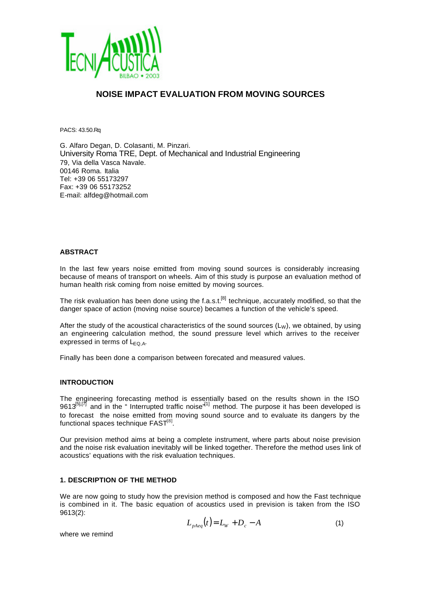

# **NOISE IMPACT EVALUATION FROM MOVING SOURCES**

PACS: 43.50.Rq

G. Alfaro Degan, D. Colasanti, M. Pinzari. University Roma TRE, Dept. of Mechanical and Industrial Engineering 79, Via della Vasca Navale. 00146 Roma. Italia Tel: +39 06 55173297 Fax: +39 06 55173252 E-mail: alfdeg@hotmail.com

#### **ABSTRACT**

In the last few years noise emitted from moving sound sources is considerably increasing because of means of transport on wheels. Aim of this study is purpose an evaluation method of human health risk coming from noise emitted by moving sources.

The risk evaluation has been done using the f.a.s.t.<sup>[8]</sup> technique, accurately modified, so that the danger space of action (moving noise source) becames a function of the vehicle's speed.

After the study of the acoustical characteristics of the sound sources  $(L<sub>W</sub>)$ , we obtained, by using an engineering calculation method, the sound pressure level which arrives to the receiver expressed in terms of  $L_{EQ,AA}$ .

Finally has been done a comparison between forecated and measured values.

#### **INTRODUCTION**

The engineering forecasting method is essentially based on the results shown in the ISO 9613<sup>[5],[7]</sup> and in the " Interrupted traffic noise<sup> $11$ </sup> method. The purpose it has been developed is to forecast the noise emitted from moving sound source and to evaluate its dangers by the functional spaces technique  ${\sf FAST}^{\rm [8]}$ .

Our prevision method aims at being a complete instrument, where parts about noise prevision and the noise risk evaluation inevitably will be linked together. Therefore the method uses link of acoustics' equations with the risk evaluation techniques.

## **1. DESCRIPTION OF THE METHOD**

We are now going to study how the prevision method is composed and how the Fast technique is combined in it. The basic equation of acoustics used in prevision is taken from the ISO 9613(2):

$$
L_{pAeq}(t) = LW + Dc - A
$$
 (1)

where we remind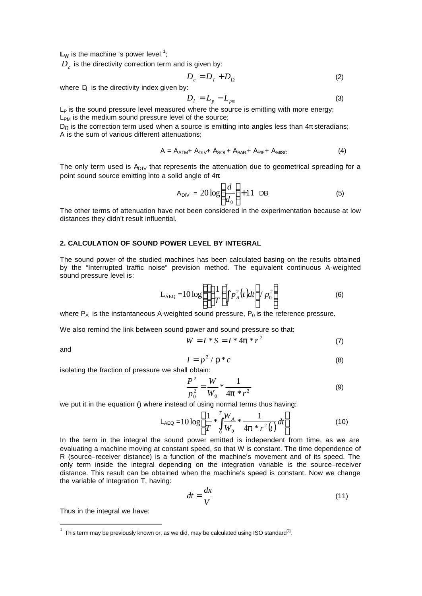$L_W$  is the machine 's power level  $1$ ;

 $D_{c\text{}}^{\phantom{\dag}}$  is the directivity correction term and is given by:

$$
D_c = D_I + D_\Omega \tag{2}
$$

where  $D<sub>l</sub>$  is the directivity index given by:

$$
D_I = L_p - L_{pm} \tag{3}
$$

 $L_P$  is the sound pressure level measured where the source is emitting with more energy; L<sub>PM</sub> is the medium sound pressure level of the source;

 $D_{\Omega}$  is the correction term used when a source is emitting into angles less than  $4\pi$  steradians; A is the sum of various different attenuations;

$$
A = A_{ATM} + A_{DIV} + A_{SOL} + A_{BAR} + A_{RIF} + A_{MISC}
$$
 (4)

The only term used is  $A<sub>DIV</sub>$  that represents the attenuation due to geometrical spreading for a point sound source emitting into a solid angle of  $4\pi$ :

$$
A_{\text{DIV}} = 20 \log \left( \frac{d}{d_0} \right) + 11 \text{ DB} \tag{5}
$$

The other terms of attenuation have not been considered in the experimentation because at low distances they didn't result influential.

#### **2. CALCULATION OF SOUND POWER LEVEL BY INTEGRAL**

The sound power of the studied machines has been calculated basing on the results obtained by the "Interrupted traffic noise" prevision method. The equivalent continuous A-weighted sound pressure level is:

$$
L_{\text{AEQ}} = 10 \log \left\{ \left[ \left( \frac{1}{T} \int_0^T p_A^2(t) dt \right] / p_0^2 \right] \right\}
$$
 (6)

where  $P_A$  is the instantaneous A-weighted sound pressure,  $P_0$  is the reference pressure.

We also remind the link between sound power and sound pressure so that:

$$
W = I * S = I * 4p * r^2
$$
 (7)

and

l

$$
I = p^2 / r^* c \tag{8}
$$

isolating the fraction of pressure we shall obtain:

$$
\frac{P^2}{p_0^2} = \frac{W}{W_0} * \frac{1}{4p * r^2}
$$
 (9)

we put it in the equation () where instead of using normal terms thus having:

$$
L_{AEQ} = 10 \log \left\{ \frac{1}{T} * \int_{0}^{T} \frac{W_A}{W_0} * \frac{1}{4\mathbf{p} * r^2(t)} dt \right\}
$$
(10)

In the term in the integral the sound power emitted is independent from time, as we are evaluating a machine moving at constant speed, so that W is constant. The time dependence of R (source–receiver distance) is a function of the machine's movement and of its speed. The only term inside the integral depending on the integration variable is the source–receiver distance. This result can be obtained when the machine's speed is constant. Now we change the variable of integration T, having:

$$
dt = \frac{dx}{V} \tag{11}
$$

Thus in the integral we have:

 $1$  This term may be previously known or, as we did, may be calculated using ISO standard<sup>[2]</sup>.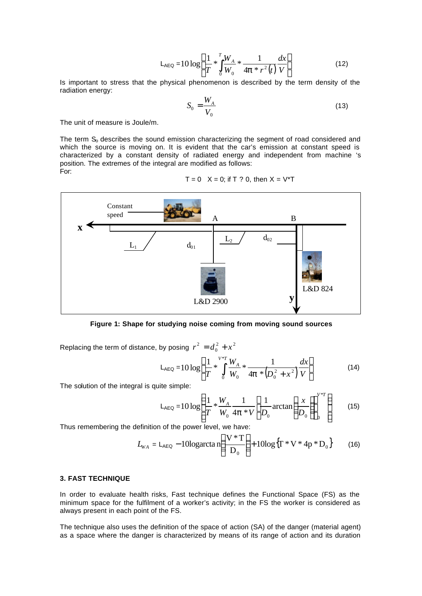$$
L_{AEO} = 10 \log \left\{ \frac{1}{T} * \int_{0}^{T} \frac{W_{A}}{W_{0}} * \frac{1}{4p * r^{2}(t)} \frac{dx}{V} \right\}
$$
(12)

Is important to stress that the physical phenomenon is described by the term density of the radiation energy:

$$
S_0 = \frac{W_A}{V_0} \tag{13}
$$

The unit of measure is Joule/m.

The term  $S<sub>o</sub>$  describes the sound emission characterizing the segment of road considered and which the source is moving on. It is evident that the car's emission at constant speed is characterized by a constant density of radiated energy and independent from machine 's position. The extremes of the integral are modified as follows: For:

 $T = 0$   $X = 0$ ; if T ? 0, then  $X = V^*T$ 



**Figure 1: Shape for studying noise coming from moving sound sources**

Replacing the term of distance, by posing  $r^2 = d_0^2 + x^2$  $r^2 = d_0^2 + x$ 

$$
L_{AEQ} = 10 \log \left\{ \frac{1}{T} * \int_{0}^{V*T} \frac{W_A}{W_0} * \frac{1}{4\mathbf{p} * (D_0^2 + x^2)} \frac{dx}{V} \right\}
$$
(14)

The solution of the integral is quite simple:

$$
L_{AEQ} = 10 \log \left\{ \frac{1}{T} * \frac{W_A}{W_0} \frac{1}{4\mathbf{p} * V} \left[ \frac{1}{D_0} \arctan \left( \frac{x}{D_0} \right) \right]_0^{V^*T} \right\}
$$
(15)

Thus remembering the definition of the power level, we have:

$$
L_{WA} = L_{AEG} - 10\log arctan\left(\frac{V*T}{D_0}\right) + 10\log\left\{T*V*4p*D_0\right\} \tag{16}
$$

#### **3. FAST TECHNIQUE**

In order to evaluate health risks, Fast technique defines the Functional Space (FS) as the minimum space for the fulfilment of a worker's activity; in the FS the worker is considered as always present in each point of the FS.

The technique also uses the definition of the space of action (SA) of the danger (material agent) as a space where the danger is characterized by means of its range of action and its duration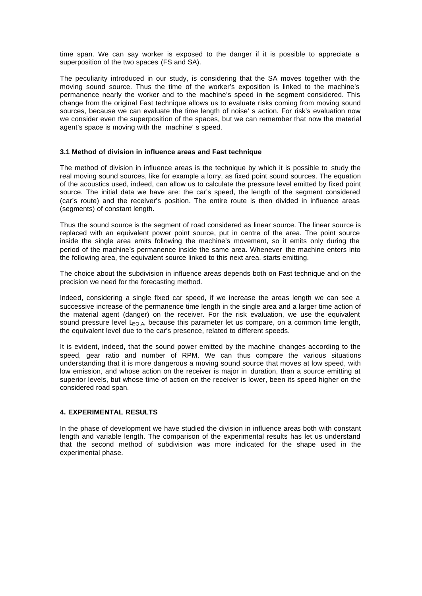time span. We can say worker is exposed to the danger if it is possible to appreciate a superposition of the two spaces (FS and SA).

The peculiarity introduced in our study, is considering that the SA moves together with the moving sound source. Thus the time of the worker's exposition is linked to the machine's permanence nearly the worker and to the machine's speed in the segment considered. This change from the original Fast technique allows us to evaluate risks coming from moving sound sources, because we can evaluate the time length of noise' s action. For risk's evaluation now we consider even the superposition of the spaces, but we can remember that now the material agent's space is moving with the machine' s speed.

## **3.1 Method of division in influence areas and Fast technique**

The method of division in influence areas is the technique by which it is possible to study the real moving sound sources, like for example a lorry, as fixed point sound sources. The equation of the acoustics used, indeed, can allow us to calculate the pressure level emitted by fixed point source. The initial data we have are: the car's speed, the length of the segment considered (car's route) and the receiver's position. The entire route is then divided in influence areas (segments) of constant length.

Thus the sound source is the segment of road considered as linear source. The linear source is replaced with an equivalent power point source, put in centre of the area. The point source inside the single area emits following the machine's movement, so it emits only during the period of the machine's permanence inside the same area. Whenever the machine enters into the following area, the equivalent source linked to this next area, starts emitting.

The choice about the subdivision in influence areas depends both on Fast technique and on the precision we need for the forecasting method.

Indeed, considering a single fixed car speed, if we increase the areas length we can see a successive increase of the permanence time length in the single area and a larger time action of the material agent (danger) on the receiver. For the risk evaluation, we use the equivalent sound pressure level  $L_{\text{Q},A}$ , because this parameter let us compare, on a common time length, the equivalent level due to the car's presence, related to different speeds.

It is evident, indeed, that the sound power emitted by the machine changes according to the speed, gear ratio and number of RPM. We can thus compare the various situations understanding that it is more dangerous a moving sound source that moves at low speed, with low emission, and whose action on the receiver is major in duration, than a source emitting at superior levels, but whose time of action on the receiver is lower, been its speed higher on the considered road span.

# **4. EXPERIMENTAL RESULTS**

In the phase of development we have studied the division in influence areas both with constant length and variable length. The comparison of the experimental results has let us understand that the second method of subdivision was more indicated for the shape used in the experimental phase.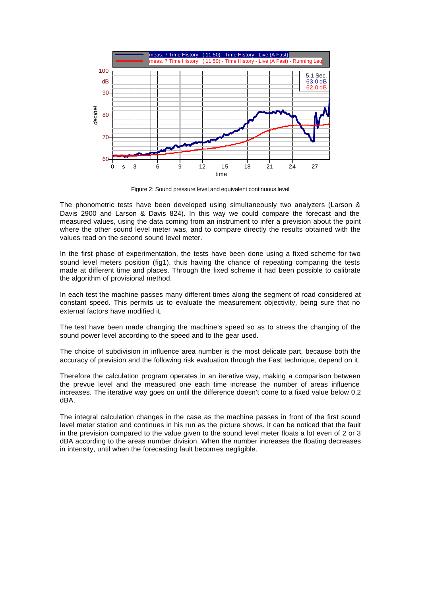

Figure 2: Sound pressure level and equivalent continuous level

The phonometric tests have been developed using simultaneously two analyzers (Larson & Davis 2900 and Larson & Davis 824). In this way we could compare the forecast and the measured values, using the data coming from an instrument to infer a prevision about the point where the other sound level meter was, and to compare directly the results obtained with the values read on the second sound level meter.

In the first phase of experimentation, the tests have been done using a fixed scheme for two sound level meters position (fig1), thus having the chance of repeating comparing the tests made at different time and places. Through the fixed scheme it had been possible to calibrate the algorithm of provisional method.

In each test the machine passes many different times along the segment of road considered at constant speed. This permits us to evaluate the measurement objectivity, being sure that no external factors have modified it.

The test have been made changing the machine's speed so as to stress the changing of the sound power level according to the speed and to the gear used.

The choice of subdivision in influence area number is the most delicate part, because both the accuracy of prevision and the following risk evaluation through the Fast technique, depend on it.

Therefore the calculation program operates in an iterative way, making a comparison between the prevue level and the measured one each time increase the number of areas influence increases. The iterative way goes on until the difference doesn't come to a fixed value below 0,2 dBA.

The integral calculation changes in the case as the machine passes in front of the first sound level meter station and continues in his run as the picture shows. It can be noticed that the fault in the prevision compared to the value given to the sound level meter floats a lot even of 2 or 3 dBA according to the areas number division. When the number increases the floating decreases in intensity, until when the forecasting fault becomes negligible.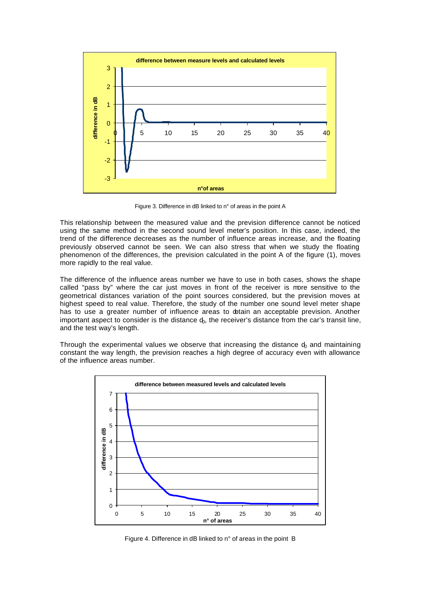

Figure 3. Difference in dB linked to n° of areas in the point A

This relationship between the measured value and the prevision difference cannot be noticed using the same method in the second sound level meter's position. In this case, indeed, the trend of the difference decreases as the number of influence areas increase, and the floating previously observed cannot be seen. We can also stress that when we study the floating phenomenon of the differences, the prevision calculated in the point A of the figure (1), moves more rapidly to the real value.

The difference of the influence areas number we have to use in both cases, shows the shape called "pass by" where the car just moves in front of the receiver is more sensitive to the geometrical distances variation of the point sources considered, but the prevision moves at highest speed to real value. Therefore, the study of the number one sound level meter shape has to use a greater number of influence areas to obtain an acceptable prevision. Another important aspect to consider is the distance  $d_0$ , the receiver's distance from the car's transit line, and the test way's length.

Through the experimental values we observe that increasing the distance  $d_0$  and maintaining constant the way length, the prevision reaches a high degree of accuracy even with allowance of the influence areas number.



Figure 4. Difference in dB linked to n° of areas in the point B